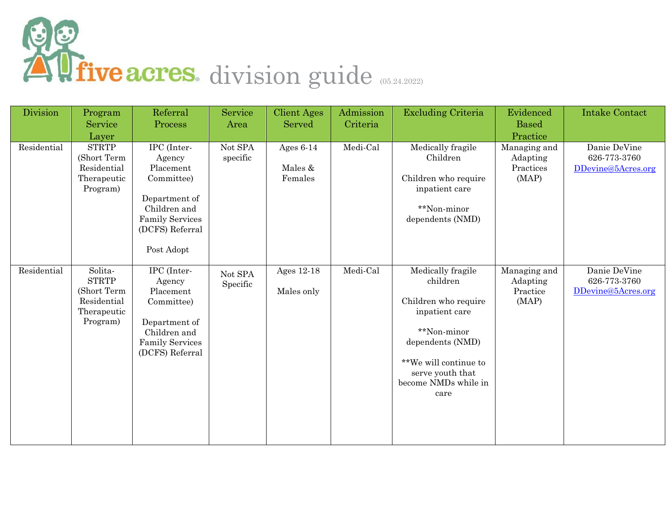

| Division    | Program<br>Service<br>Layer                                                      | Referral<br>Process                                                                                                                          | Service<br>Area     | <b>Client Ages</b><br>Served      | Admission<br>Criteria | <b>Excluding Criteria</b>                                                                                                                                                               | Evidenced<br><b>Based</b><br>Practice          | <b>Intake Contact</b>                              |
|-------------|----------------------------------------------------------------------------------|----------------------------------------------------------------------------------------------------------------------------------------------|---------------------|-----------------------------------|-----------------------|-----------------------------------------------------------------------------------------------------------------------------------------------------------------------------------------|------------------------------------------------|----------------------------------------------------|
| Residential | <b>STRTP</b><br>(Short Term<br>Residential<br>Therapeutic<br>Program)            | IPC (Inter-<br>Agency<br>Placement<br>Committee)<br>Department of<br>Children and<br><b>Family Services</b><br>(DCFS) Referral<br>Post Adopt | Not SPA<br>specific | Ages $6-14$<br>Males &<br>Females | Medi-Cal              | Medically fragile<br>Children<br>Children who require<br>inpatient care<br>**Non-minor<br>dependents (NMD)                                                                              | Managing and<br>Adapting<br>Practices<br>(MAP) | Danie DeVine<br>626-773-3760<br>DDevine@5Acres.org |
| Residential | Solita-<br><b>STRTP</b><br>(Short Term<br>Residential<br>Therapeutic<br>Program) | IPC (Inter-<br>Agency<br>Placement<br>Committee)<br>Department of<br>Children and<br><b>Family Services</b><br>(DCFS) Referral               | Not SPA<br>Specific | Ages 12-18<br>Males only          | Medi-Cal              | Medically fragile<br>children<br>Children who require<br>inpatient care<br>**Non-minor<br>dependents (NMD)<br>**We will continue to<br>serve youth that<br>become NMDs while in<br>care | Managing and<br>Adapting<br>Practice<br>(MAP)  | Danie DeVine<br>626-773-3760<br>DDevine@5Acres.org |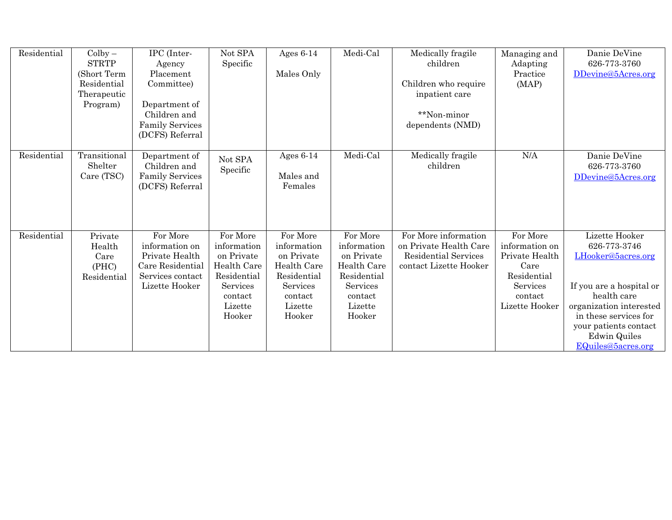| Residential | $\mathrm{Colby}-$<br><b>STRTP</b> | IPC (Inter-<br>Agency              | Not SPA<br>Specific       | Ages $6-14$               | Medi-Cal                  | Medically fragile<br>children                  | Managing and<br>Adapting | Danie DeVine<br>626-773-3760 |
|-------------|-----------------------------------|------------------------------------|---------------------------|---------------------------|---------------------------|------------------------------------------------|--------------------------|------------------------------|
|             | (Short Term                       | Placement                          |                           | Males Only                |                           |                                                | Practice                 | DDevine@5Acres.org           |
|             | Residential                       | Committee)                         |                           |                           |                           | Children who require                           | (MAP)                    |                              |
|             | Therapeutic                       |                                    |                           |                           |                           | inpatient care                                 |                          |                              |
|             | Program)                          | Department of                      |                           |                           |                           |                                                |                          |                              |
|             |                                   | Children and                       |                           |                           |                           | **Non-minor                                    |                          |                              |
|             |                                   | <b>Family Services</b>             |                           |                           |                           | dependents (NMD)                               |                          |                              |
|             |                                   | (DCFS) Referral                    |                           |                           |                           |                                                |                          |                              |
|             |                                   |                                    |                           |                           |                           |                                                |                          |                              |
| Residential | Transitional<br>Shelter           | Department of<br>Children and      | Not SPA                   | Ages $6-14$               | Medi-Cal                  | Medically fragile<br>children                  | $\rm N/A$                | Danie DeVine<br>626-773-3760 |
|             | Care (TSC)                        | <b>Family Services</b>             | Specific                  | Males and                 |                           |                                                |                          | DDevine@5Acres.org           |
|             |                                   | (DCFS) Referral                    |                           | Females                   |                           |                                                |                          |                              |
|             |                                   |                                    |                           |                           |                           |                                                |                          |                              |
|             |                                   |                                    |                           |                           |                           |                                                |                          |                              |
|             |                                   |                                    |                           |                           |                           |                                                |                          |                              |
|             |                                   |                                    |                           |                           |                           |                                                |                          |                              |
| Residential | Private                           | For More                           | For More                  | For More                  | For More                  | For More information                           | For More                 | Lizette Hooker               |
|             | Health                            | information on                     | information<br>on Private | information               | information<br>on Private | on Private Health Care<br>Residential Services | information on           | 626-773-3746                 |
|             | Care<br>(PHC)                     | Private Health<br>Care Residential | Health Care               | on Private<br>Health Care | Health Care               | contact Lizette Hooker                         | Private Health<br>Care   | LHooker@5acres.org           |
|             | Residential                       | Services contact                   | Residential               | Residential               | Residential               |                                                | Residential              |                              |
|             |                                   | Lizette Hooker                     | Services                  | Services                  | Services                  |                                                | Services                 | If you are a hospital or     |
|             |                                   |                                    | contact                   | contact                   | contact                   |                                                | contact                  | health care                  |
|             |                                   |                                    | Lizette                   | Lizette                   | Lizette                   |                                                | Lizette Hooker           | organization interested      |
|             |                                   |                                    | Hooker                    | Hooker                    | Hooker                    |                                                |                          | in these services for        |
|             |                                   |                                    |                           |                           |                           |                                                |                          | your patients contact        |
|             |                                   |                                    |                           |                           |                           |                                                |                          | <b>Edwin Quiles</b>          |
|             |                                   |                                    |                           |                           |                           |                                                |                          | EQuiles@5acres.org           |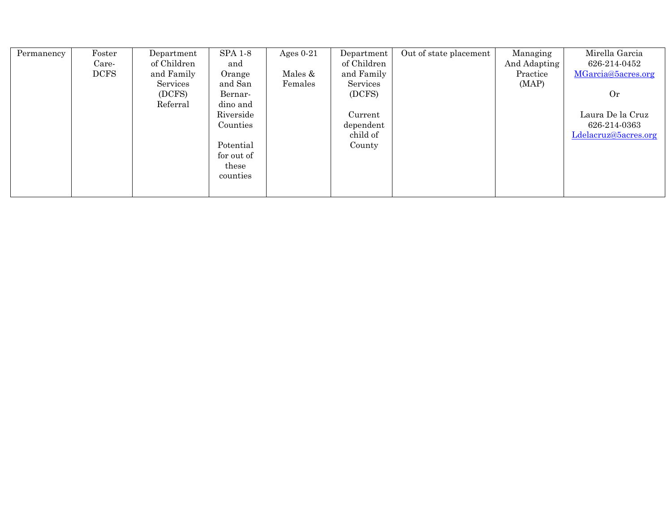| Permanency | Foster      | Department  | <b>SPA 1-8</b> | Ages $0-21$ | Department  | Out of state placement | Managing     | Mirella Garcia       |
|------------|-------------|-------------|----------------|-------------|-------------|------------------------|--------------|----------------------|
|            | Care-       | of Children | and            |             | of Children |                        | And Adapting | 626-214-0452         |
|            | <b>DCFS</b> | and Family  | Orange         | Males &     | and Family  |                        | Practice     | MGarcia@5acres.org   |
|            |             | Services    | and San        | Females     | Services    |                        | (MAP)        |                      |
|            |             | (DCFS)      | Bernar-        |             | (DCFS)      |                        |              | Or                   |
|            |             | Referral    | dino and       |             |             |                        |              |                      |
|            |             |             | Riverside      |             | Current     |                        |              | Laura De la Cruz     |
|            |             |             | Counties       |             | dependent   |                        |              | 626 214 0363         |
|            |             |             |                |             | child of    |                        |              | Ldelacruz@5acres.org |
|            |             |             | Potential      |             | County      |                        |              |                      |
|            |             |             | for out of     |             |             |                        |              |                      |
|            |             |             | these          |             |             |                        |              |                      |
|            |             |             | counties       |             |             |                        |              |                      |
|            |             |             |                |             |             |                        |              |                      |
|            |             |             |                |             |             |                        |              |                      |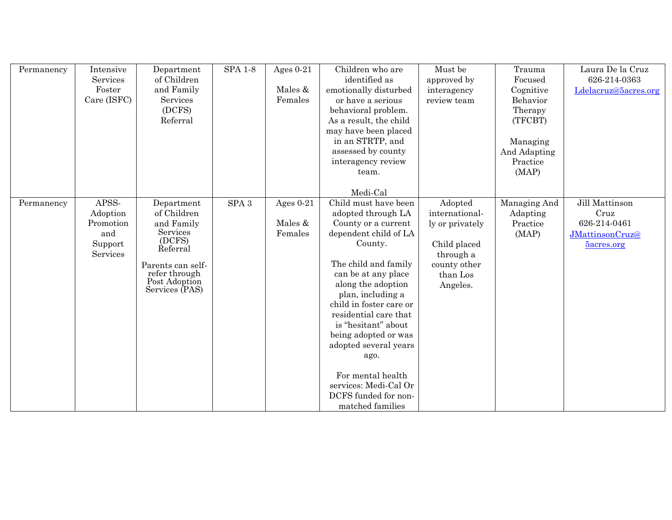| Permanency | Intensive<br>Services<br>Foster<br>Care (ISFC)               | Department<br>of Children<br>and Family<br>Services<br>(DCFS)<br>Referral                                                                          | <b>SPA 1-8</b>   | Ages $0-21$<br>Males &<br>Females | Children who are<br>identified as<br>emotionally disturbed<br>or have a serious<br>behavioral problem.<br>As a result, the child<br>may have been placed<br>in an STRTP, and<br>assessed by county<br>interagency review<br>team.                                                                                                                                                                                                         | Must be<br>approved by<br>interagency<br>review team                                                              | Trauma<br>Focused<br>Cognitive<br>Behavior<br>Therapy<br>(TFCBT)<br>Managing<br>And Adapting<br>Practice<br>(MAP) | Laura De la Cruz<br>626-214-0363<br>Ldelacruz@5acres.org                |
|------------|--------------------------------------------------------------|----------------------------------------------------------------------------------------------------------------------------------------------------|------------------|-----------------------------------|-------------------------------------------------------------------------------------------------------------------------------------------------------------------------------------------------------------------------------------------------------------------------------------------------------------------------------------------------------------------------------------------------------------------------------------------|-------------------------------------------------------------------------------------------------------------------|-------------------------------------------------------------------------------------------------------------------|-------------------------------------------------------------------------|
| Permanency | APSS-<br>Adoption<br>Promotion<br>and<br>Support<br>Services | Department<br>of Children<br>and Family<br>Services<br>(DCFS)<br>Referral<br>Parents can self-<br>refer through<br>Post Adoption<br>Services (PAS) | SPA <sub>3</sub> | Ages $0-21$<br>Males &<br>Females | Medi-Cal<br>Child must have been<br>adopted through LA<br>County or a current<br>dependent child of LA<br>County.<br>The child and family<br>can be at any place<br>along the adoption<br>plan, including a<br>child in foster care or<br>residential care that<br>is "hesitant" about<br>being adopted or was<br>adopted several years<br>ago.<br>For mental health<br>services: Medi-Cal Or<br>DCFS funded for non-<br>matched families | Adopted<br>international-<br>ly or privately<br>Child placed<br>through a<br>county other<br>than Los<br>Angeles. | Managing And<br>Adapting<br>Practice<br>(MAP)                                                                     | Jill Mattinson<br>Cruz<br>626-214-0461<br>JMattinsonCruz@<br>5acres.org |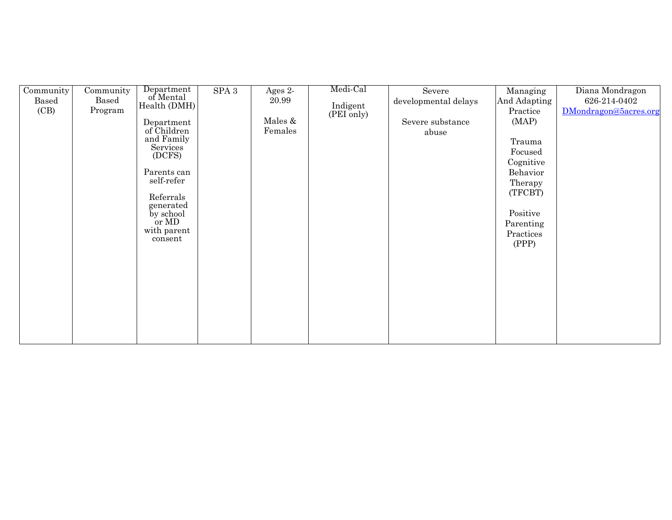| Community | Community | Department             | SPA <sub>3</sub> | Ages 2- | Medi-Cal               | Severe               | Managing     | Diana Mondragon       |
|-----------|-----------|------------------------|------------------|---------|------------------------|----------------------|--------------|-----------------------|
| Based     | Based     | of Mental              |                  | 20.99   |                        | developmental delays | And Adapting | 626-214-0402          |
| (CB)      | Program   | Health (DMH)           |                  |         | Indigent<br>(PEI only) |                      | Practice     | DMondragon@5acres.org |
|           |           | Department             |                  | Males & |                        | Severe substance     | (MAP)        |                       |
|           |           | of Children            |                  | Females |                        | abuse                |              |                       |
|           |           | and Family             |                  |         |                        |                      | Trauma       |                       |
|           |           | Services <sup>®</sup>  |                  |         |                        |                      | Focused      |                       |
|           |           | (DCFS)                 |                  |         |                        |                      | Cognitive    |                       |
|           |           | Parents can            |                  |         |                        |                      | Behavior     |                       |
|           |           | self-refer             |                  |         |                        |                      | Therapy      |                       |
|           |           |                        |                  |         |                        |                      | (TFCBT)      |                       |
|           |           | Referrals              |                  |         |                        |                      |              |                       |
|           |           | generated<br>by school |                  |         |                        |                      | Positive     |                       |
|           |           | or MD                  |                  |         |                        |                      | Parenting    |                       |
|           |           | with parent            |                  |         |                        |                      | Practices    |                       |
|           |           | consent                |                  |         |                        |                      |              |                       |
|           |           |                        |                  |         |                        |                      | (PPP)        |                       |
|           |           |                        |                  |         |                        |                      |              |                       |
|           |           |                        |                  |         |                        |                      |              |                       |
|           |           |                        |                  |         |                        |                      |              |                       |
|           |           |                        |                  |         |                        |                      |              |                       |
|           |           |                        |                  |         |                        |                      |              |                       |
|           |           |                        |                  |         |                        |                      |              |                       |
|           |           |                        |                  |         |                        |                      |              |                       |
|           |           |                        |                  |         |                        |                      |              |                       |
|           |           |                        |                  |         |                        |                      |              |                       |
|           |           |                        |                  |         |                        |                      |              |                       |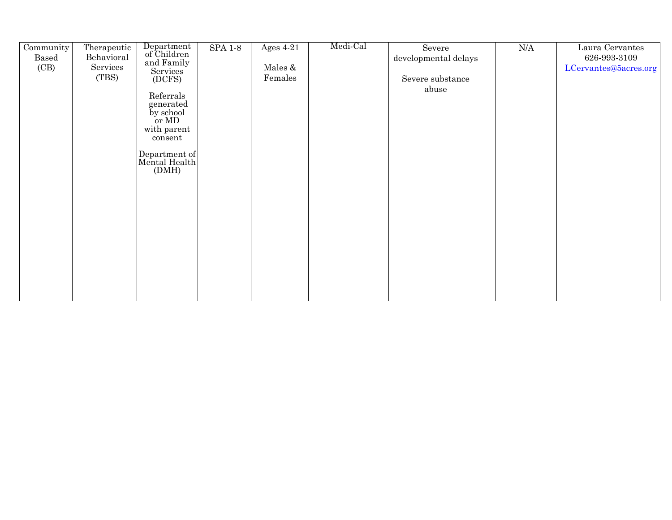| Community | Therapeutic | Department<br>of Children      | <b>SPA 1-8</b> | Ages $4-21$ | Medi-Cal | Severe               | $\rm N\mskip-1.5mu\rm M\mskip-1.5mu\rm M$ | Laura Cervantes       |
|-----------|-------------|--------------------------------|----------------|-------------|----------|----------------------|-------------------------------------------|-----------------------|
| Based     | Behavioral  |                                |                |             |          | developmental delays |                                           | 626-993-3109          |
| (CB)      | Services    | and Family                     |                | Males &     |          |                      |                                           | LCervantes@5acres.org |
|           | (TBS)       | Services<br>(DCFS)             |                | Females     |          | Severe substance     |                                           |                       |
|           |             |                                |                |             |          | abuse                |                                           |                       |
|           |             | Referrals                      |                |             |          |                      |                                           |                       |
|           |             | generated                      |                |             |          |                      |                                           |                       |
|           |             | by school                      |                |             |          |                      |                                           |                       |
|           |             | or MD                          |                |             |          |                      |                                           |                       |
|           |             | with parent<br>consent         |                |             |          |                      |                                           |                       |
|           |             |                                |                |             |          |                      |                                           |                       |
|           |             | Department of<br>Mental Health |                |             |          |                      |                                           |                       |
|           |             |                                |                |             |          |                      |                                           |                       |
|           |             | (DMH)                          |                |             |          |                      |                                           |                       |
|           |             |                                |                |             |          |                      |                                           |                       |
|           |             |                                |                |             |          |                      |                                           |                       |
|           |             |                                |                |             |          |                      |                                           |                       |
|           |             |                                |                |             |          |                      |                                           |                       |
|           |             |                                |                |             |          |                      |                                           |                       |
|           |             |                                |                |             |          |                      |                                           |                       |
|           |             |                                |                |             |          |                      |                                           |                       |
|           |             |                                |                |             |          |                      |                                           |                       |
|           |             |                                |                |             |          |                      |                                           |                       |
|           |             |                                |                |             |          |                      |                                           |                       |
|           |             |                                |                |             |          |                      |                                           |                       |
|           |             |                                |                |             |          |                      |                                           |                       |
|           |             |                                |                |             |          |                      |                                           |                       |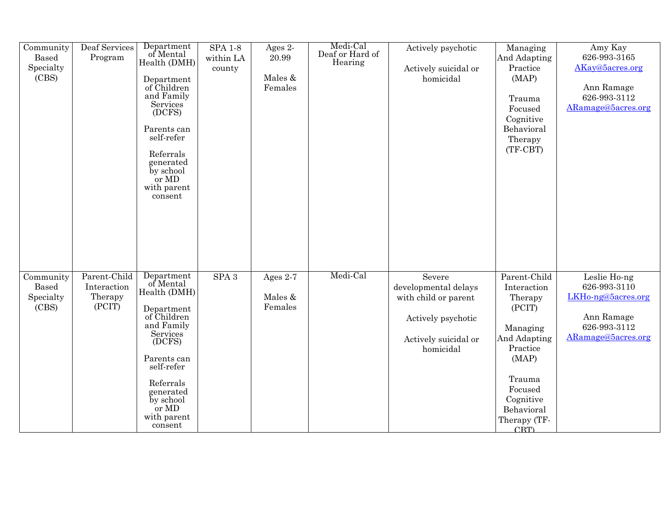| Community<br><b>Based</b><br>Specialty<br>(CBS) | Deaf Services<br>Program                         | Department<br>of Mental<br>Health (DMH)<br>Department<br>of Children<br>and Family<br>Services<br>(DCFS)<br>Parents can<br>self-refer<br>Referrals<br>generated<br>by school<br>or MD<br>with parent<br>consent        | <b>SPA 1-8</b><br>within LA<br>county | Ages 2-<br>20.99<br>Males &<br>Females | Medi-Cal<br>Deaf or Hard of<br>Hearing | Actively psychotic<br>Actively suicidal or<br>homicidal                                                           | Managing<br>And Adapting<br>Practice<br>(MAP)<br>Trauma<br>Focused<br>Cognitive<br>Behavioral<br>Therapy<br>$(TF-CBT)$                                                   | Amy Kay<br>626-993-3165<br>AKay@5acres.org<br>Ann Ramage<br>626-993-3112<br>ARamage@5acres.org         |
|-------------------------------------------------|--------------------------------------------------|------------------------------------------------------------------------------------------------------------------------------------------------------------------------------------------------------------------------|---------------------------------------|----------------------------------------|----------------------------------------|-------------------------------------------------------------------------------------------------------------------|--------------------------------------------------------------------------------------------------------------------------------------------------------------------------|--------------------------------------------------------------------------------------------------------|
| Community<br><b>Based</b><br>Specialty<br>(CBS) | Parent-Child<br>Interaction<br>Therapy<br>(PCIT) | Department<br>of Mental<br>Health (DMH)<br>Department<br>of Children<br>and Family<br><b>Services</b><br>(DCFS)<br>Parents can<br>self-refer<br>Referrals<br>generated<br>by school<br>or MD<br>with parent<br>consent | $\rm SPA$ $3$                         | Ages 2-7<br>Males &<br>Females         | Medi-Cal                               | Severe<br>developmental delays<br>with child or parent<br>Actively psychotic<br>Actively suicidal or<br>homicidal | Parent-Child<br>Interaction<br>Therapy<br>(PCIT)<br>Managing<br>And Adapting<br>Practice<br>(MAP)<br>Trauma<br>Focused<br>Cognitive<br>Behavioral<br>Therapy (TF-<br>CBT | Leslie Ho-ng<br>626-993-3110<br>LKHo-ng@5acres.org<br>Ann Ramage<br>626-993-3112<br>ARamage@5acres.org |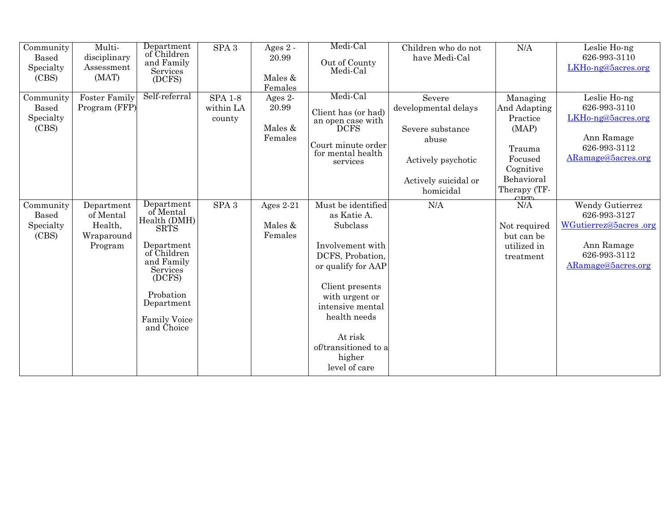| Community<br><b>Based</b><br>Specialty<br>(CBS) | Multi-<br>disciplinary<br>Assessment<br>(MAT)               | Department<br>of Children<br>and Family<br>Services<br>(DCFS)                                                                                                                           | SPA <sub>3</sub>                      | Ages $2 -$<br>20.99<br>Males &<br>Females | Medi-Cal<br>Out of County<br>Medi-Cal                                                                                                                                                                                                              | Children who do not<br>have Medi-Cal                                                                                   | N/A                                                                                                                  | Leslie Ho-ng<br>626-993-3110<br>LKH <sub>0</sub> -ng@5acres.org                                              |
|-------------------------------------------------|-------------------------------------------------------------|-----------------------------------------------------------------------------------------------------------------------------------------------------------------------------------------|---------------------------------------|-------------------------------------------|----------------------------------------------------------------------------------------------------------------------------------------------------------------------------------------------------------------------------------------------------|------------------------------------------------------------------------------------------------------------------------|----------------------------------------------------------------------------------------------------------------------|--------------------------------------------------------------------------------------------------------------|
| Community<br><b>Based</b><br>Specialty<br>(CBS) | <b>Foster Family</b><br>Program (FFP)                       | Self-referral                                                                                                                                                                           | <b>SPA 1-8</b><br>within LA<br>county | Ages 2-<br>20.99<br>Males &<br>Females    | Medi-Cal<br>Client has (or had)<br>an open case with<br><b>DCFS</b><br>Court minute order<br>for mental health<br>services                                                                                                                         | Severe<br>developmental delays<br>Severe substance<br>abuse<br>Actively psychotic<br>Actively suicidal or<br>homicidal | Managing<br>And Adapting<br>Practice<br>(MAP)<br>Trauma<br>Focused<br>Cognitive<br>Behavioral<br>Therapy (TF-<br>CDT | Leslie Ho-ng<br>626-993-3110<br>LKHo-ng@5acres.org<br>Ann Ramage<br>626-993-3112<br>ARamage@5acres.org       |
| Community<br><b>Based</b><br>Specialty<br>(CBS) | Department<br>of Mental<br>Health,<br>Wraparound<br>Program | Department<br>of Mental<br>Health (DMH)<br><b>SRTS</b><br>Department<br>of Children<br>and Family<br>Services<br>(DCFS)<br>Probation<br>Department<br><b>Family Voice</b><br>and Choice | SPA <sub>3</sub>                      | Ages $2-21$<br>Males &<br>Females         | Must be identified<br>as Katie A.<br>Subclass<br>Involvement with<br>DCFS, Probation,<br>or qualify for AAP<br>Client presents<br>with urgent or<br>intensive mental<br>health needs<br>At risk<br>of/transitioned to a<br>higher<br>level of care | N/A                                                                                                                    | N/A<br>Not required<br>but can be<br>utilized in<br>treatment                                                        | Wendy Gutierrez<br>626-993-3127<br>WGutierrez@5acres.org<br>Ann Ramage<br>626-993-3112<br>ARamage@5acres.org |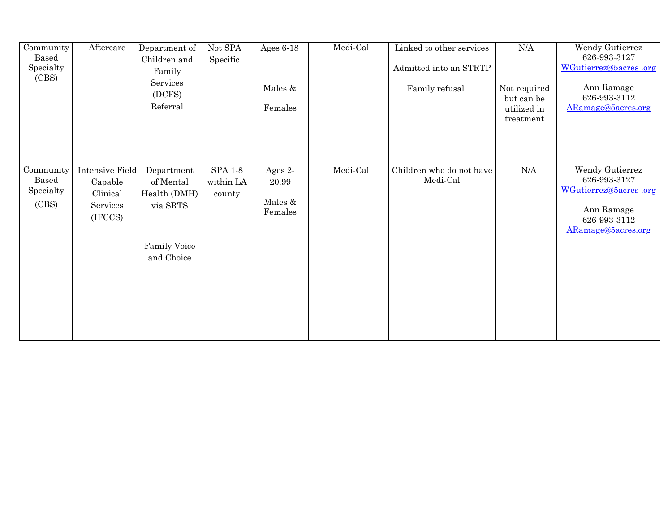| Community<br>Based<br>Specialty<br>(CBS)        | Aftercare                                                            | Department of<br>Children and<br>Family<br>Services<br>(DCFS)<br>Referral         | $\rm Not$ SPA<br>Specific             | Ages $6-18$<br>Males &<br>Females      | Medi-Cal | Linked to other services<br>Admitted into an STRTP<br>Family refusal | $\rm N\mskip-1.5mu\rm M\mskip-1.5mu\rm M$<br>Not required<br>but can be<br>utilized in<br>treatment | Wendy Gutierrez<br>626-993-3127<br>WGutierrez@5acres.org<br>Ann Ramage<br>626-993-3112<br>ARamage@5acres.org |
|-------------------------------------------------|----------------------------------------------------------------------|-----------------------------------------------------------------------------------|---------------------------------------|----------------------------------------|----------|----------------------------------------------------------------------|-----------------------------------------------------------------------------------------------------|--------------------------------------------------------------------------------------------------------------|
| Community<br><b>Based</b><br>Specialty<br>(CBS) | <b>Intensive Field</b><br>Capable<br>Clinical<br>Services<br>(IFCCS) | Department<br>of Mental<br>Health (DMH)<br>via SRTS<br>Family Voice<br>and Choice | <b>SPA 1-8</b><br>within LA<br>county | Ages 2-<br>20.99<br>Males &<br>Females | Medi-Cal | Children who do not have<br>Medi-Cal                                 | N/A                                                                                                 | Wendy Gutierrez<br>626-993-3127<br>WGutierrez@5acres.org<br>Ann Ramage<br>626-993-3112<br>ARamage@5acres.org |